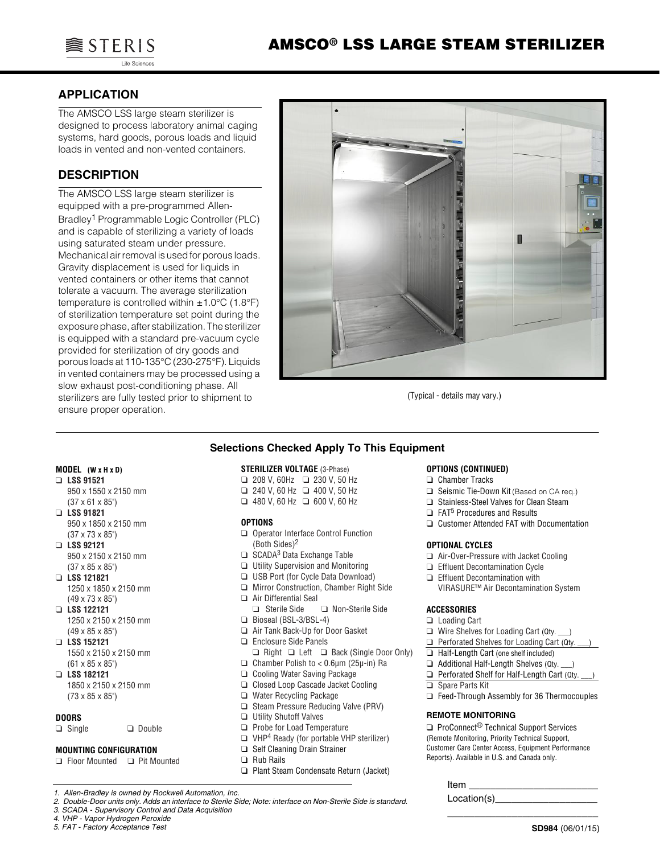

# **APPLICATION**

The AMSCO LSS large steam sterilizer is designed to process laboratory animal caging systems, hard goods, porous loads and liquid loads in vented and non-vented containers.

# **DESCRIPTION**

The AMSCO LSS large steam sterilizer is equipped with a pre-programmed Allen-Bradley1 Programmable Logic Controller (PLC) and is capable of sterilizing a variety of loads using saturated steam under pressure. Mechanical air removal is used for porous loads. Gravity displacement is used for liquids in vented containers or other items that cannot tolerate a vacuum. The average sterilization temperature is controlled within  $\pm 1.0^{\circ}$ C (1.8°F) of sterilization temperature set point during the exposure phase, after stabilization. The sterilizer is equipped with a standard pre-vacuum cycle provided for sterilization of dry goods and porous loads at 110-135°C (230-275°F). Liquids in vented containers may be processed using a slow exhaust post-conditioning phase. All sterilizers are fully tested prior to shipment to ensure proper operation.



(Typical - details may vary.) (Typical - details may vary.)

# **Selections Checked Apply To This Equipment**

#### **MODEL (W x H x D)**

- ❑ **LSS 91521** 950 x 1550 x 2150 mm (37 x 61 x 85")
- ❑ **LSS 91821** 950 x 1850 x 2150 mm (37 x 73 x 85")
- ❑ **LSS 92121**  950 x 2150 x 2150 mm (37 x 85 x 85")
- ❑ **LSS 121821** 1250 x 1850 x 2150 mm (49 x 73 x 85")
- ❑ **LSS 122121** 1250 x 2150 x 2150 mm (49 x 85 x 85")
- ❑ **LSS 152121** 1550 x 2150 x 2150 mm (61 x 85 x 85")
- ❑ **LSS 182121**
- 1850 x 2150 x 2150 mm (73 x 85 x 85")

#### **DOORS**

❑ Single ❑ Double

#### **MOUNTING CONFIGURATION**

❑ Floor Mounted ❑ Pit Mounted

- **STERILIZER VOLTAGE** (3-Phase) ❑ 208 V, 60Hz ❑ 230 V, 50 Hz ❑ 240 V, 60 Hz ❑ 400 V, 50 Hz
- ❑ 480 V, 60 Hz ❑ 600 V, 60 Hz

#### **OPTIONS**

- ❑ Operator Interface Control Function (Both Sides)2
- $\Box$  SCADA<sup>3</sup> Data Exchange Table
- ❑ Utility Supervision and Monitoring
- ❑ USB Port (for Cycle Data Download)
- ❑ Mirror Construction, Chamber Right Side ❑ Air Differential Seal
- ❑ Sterile Side ❑ Non-Sterile Side ❑ Bioseal (BSL-3/BSL-4)
- ❑ Air Tank Back-Up for Door Gasket
- ❑ Enclosure Side Panels
- ❑ Right ❑ Left ❑ Back (Single Door Only)
- ❑ Chamber Polish to < 0.6µm (25µ-in) Ra
- ❑ Cooling Water Saving Package
- ❑ Closed Loop Cascade Jacket Cooling
- ❑ Water Recycling Package
- ❑ Steam Pressure Reducing Valve (PRV)
- ❑ Utility Shutoff Valves
- ❑ Probe for Load Temperature
- ❑ VHP4 Ready (for portable VHP sterilizer)
- ❑ Self Cleaning Drain Strainer
- ❑ Rub Rails
- ❑ Plant Steam Condensate Return (Jacket)

*3. SCADA - Supervisory Control and Data Acquisition*

*4. VHP - Vapor Hydrogen Peroxide 5. FAT - Factory Acceptance Test*

#### **OPTIONS (CONTINUED)**

- ❑ Chamber Tracks
- ❑ Seismic Tie-Down Kit (Based on CA req.)
- ❑ Stainless-Steel Valves for Clean Steam
- ❑ FAT5 Procedures and Results
- ❑ Customer Attended FAT with Documentation

#### **OPTIONAL CYCLES**

- ❑ Air-Over-Pressure with Jacket Cooling
- ❑ Effluent Decontamination Cycle
- ❑ Effluent Decontamination with
	- VIRASURE™ Air Decontamination System

#### **ACCESSORIES**

- ❑ Loading Cart
- ❑ Wire Shelves for Loading Cart (Qty. \_\_\_)
- ❑ Perforated Shelves for Loading Cart (Qty. \_\_\_)
- ❑ Half-Length Cart (one shelf included)
- ❑ Additional Half-Length Shelves (Qty. \_\_\_)
- □ Perforated Shelf for Half-Length Cart (Qty.
- ❑ Spare Parts Kit
- ❑ Feed-Through Assembly for 36 Thermocouples

#### **REMOTE MONITORING**

□ ProConnect<sup>®</sup> Technical Support Services (Remote Monitoring, Priority Technical Support, Customer Care Center Access, Equipment Performance Reports). Available in U.S. and Canada only.

| Item        |  |
|-------------|--|
| Location(s) |  |

\_\_\_\_\_\_\_\_\_\_\_\_\_\_\_\_\_\_\_\_\_\_\_\_\_\_\_\_

*<sup>1.</sup> Allen-Bradley is owned by Rockwell Automation, Inc.*

*<sup>2.</sup> Double-Door units only. Adds an interface to Sterile Side; Note: interface on Non-Sterile Side is standard.*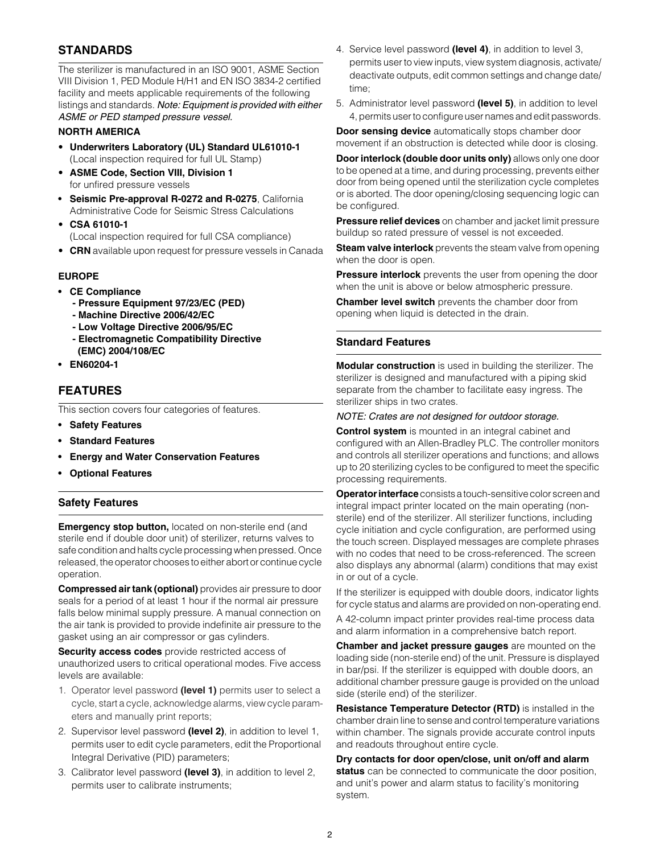# **STANDARDS**

The sterilizer is manufactured in an ISO 9001, ASME Section VIII Division 1, PED Module H/H1 and EN ISO 3834-2 certified facility and meets applicable requirements of the following listings and standards. *Note: Equipment is provided with either ASME or PED stamped pressure vessel.*

## **NORTH AMERICA**

- **Underwriters Laboratory (UL) Standard UL61010-1** (Local inspection required for full UL Stamp)
- **ASME Code, Section VIII, Division 1** for unfired pressure vessels
- **Seismic Pre-approval R-0272 and R-0275**, California Administrative Code for Seismic Stress Calculations
- **CSA 61010-1**  (Local inspection required for full CSA compliance)
- **CRN** available upon request for pressure vessels in Canada

## **EUROPE**

- **CE Compliance**
	- **Pressure Equipment 97/23/EC (PED)**
	- **Machine Directive 2006/42/EC**
	- **Low Voltage Directive 2006/95/EC**
	- **Electromagnetic Compatibility Directive (EMC) 2004/108/EC**
- **EN60204-1**

# **FEATURES**

This section covers four categories of features.

- **Safety Features**
- **Standard Features**
- **Energy and Water Conservation Features**
- **Optional Features**

# **Safety Features**

**Emergency stop button, located on non-sterile end (and** sterile end if double door unit) of sterilizer, returns valves to safe condition and halts cycle processing when pressed. Once released, the operator chooses to either abort or continue cycle operation.

**Compressed air tank (optional)** provides air pressure to door seals for a period of at least 1 hour if the normal air pressure falls below minimal supply pressure. A manual connection on the air tank is provided to provide indefinite air pressure to the gasket using an air compressor or gas cylinders.

**Security access codes** provide restricted access of unauthorized users to critical operational modes. Five access levels are available:

- 1. Operator level password **(level 1)** permits user to select a cycle, start a cycle, acknowledge alarms, view cycle parameters and manually print reports;
- 2. Supervisor level password **(level 2)**, in addition to level 1, permits user to edit cycle parameters, edit the Proportional Integral Derivative (PID) parameters;
- 3. Calibrator level password **(level 3)**, in addition to level 2, permits user to calibrate instruments;
- 4. Service level password **(level 4)**, in addition to level 3, permits user to view inputs, view system diagnosis, activate/ deactivate outputs, edit common settings and change date/ time;
- 5. Administrator level password **(level 5)**, in addition to level 4, permits user to configure user names and edit passwords.

**Door sensing device** automatically stops chamber door movement if an obstruction is detected while door is closing.

**Door interlock (double door units only)** allows only one door to be opened at a time, and during processing, prevents either door from being opened until the sterilization cycle completes or is aborted. The door opening/closing sequencing logic can be configured.

**Pressure relief devices** on chamber and jacket limit pressure buildup so rated pressure of vessel is not exceeded.

**Steam valve interlock** prevents the steam valve from opening when the door is open.

**Pressure interlock** prevents the user from opening the door when the unit is above or below atmospheric pressure.

**Chamber level switch** prevents the chamber door from opening when liquid is detected in the drain.

## **Standard Features**

**Modular construction** is used in building the sterilizer. The sterilizer is designed and manufactured with a piping skid separate from the chamber to facilitate easy ingress. The sterilizer ships in two crates.

#### *NOTE: Crates are not designed for outdoor storage.*

**Control system** is mounted in an integral cabinet and configured with an Allen-Bradley PLC. The controller monitors and controls all sterilizer operations and functions; and allows up to 20 sterilizing cycles to be configured to meet the specific processing requirements.

**Operator interface** consists a touch-sensitive color screen and integral impact printer located on the main operating (nonsterile) end of the sterilizer. All sterilizer functions, including cycle initiation and cycle configuration, are performed using the touch screen. Displayed messages are complete phrases with no codes that need to be cross-referenced. The screen also displays any abnormal (alarm) conditions that may exist in or out of a cycle.

If the sterilizer is equipped with double doors, indicator lights for cycle status and alarms are provided on non-operating end.

A 42-column impact printer provides real-time process data and alarm information in a comprehensive batch report.

**Chamber and jacket pressure gauges** are mounted on the loading side (non-sterile end) of the unit. Pressure is displayed in bar/psi. If the sterilizer is equipped with double doors, an additional chamber pressure gauge is provided on the unload side (sterile end) of the sterilizer.

**Resistance Temperature Detector (RTD)** is installed in the chamber drain line to sense and control temperature variations within chamber. The signals provide accurate control inputs and readouts throughout entire cycle.

**Dry contacts for door open/close, unit on/off and alarm status** can be connected to communicate the door position, and unit's power and alarm status to facility's monitoring system.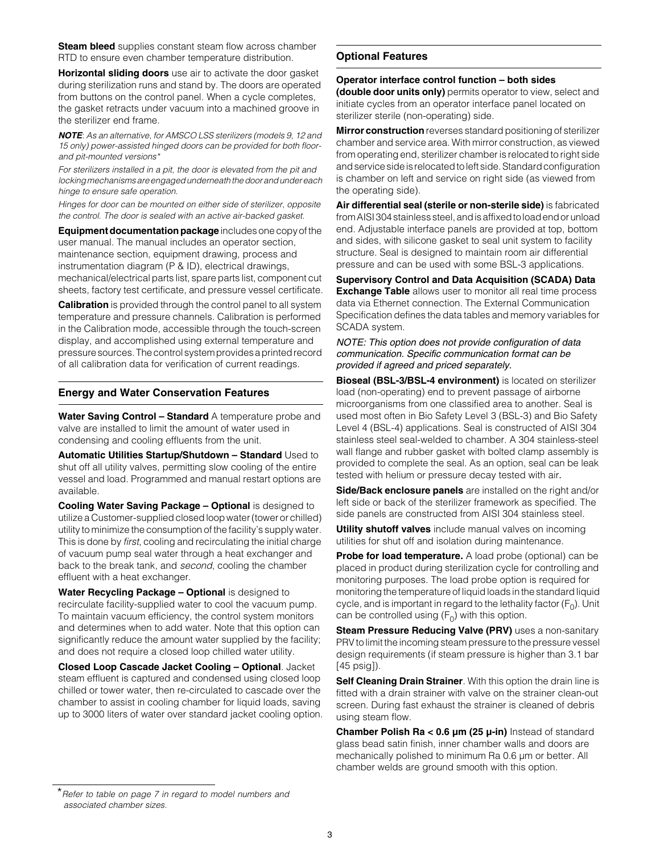**Steam bleed** supplies constant steam flow across chamber RTD to ensure even chamber temperature distribution.

**Horizontal sliding doors** use air to activate the door gasket during sterilization runs and stand by. The doors are operated from buttons on the control panel. When a cycle completes, the gasket retracts under vacuum into a machined groove in the sterilizer end frame.

*NOTE*: *As an alternative, for AMSCO LSS sterilizers (models 9, 12 and 15 only) power-assisted hinged doors can be provided for both floorand pit-mounted versions\** 

*For sterilizers installed in a pit, the door is elevated from the pit and locking mechanisms are engaged underneath the door and under each hinge to ensure safe operation.* 

*Hinges for door can be mounted on either side of sterilizer, opposite the control. The door is sealed with an active air-backed gasket.*

**Equipment documentation package** includes one copy of the user manual. The manual includes an operator section, maintenance section, equipment drawing, process and instrumentation diagram (P & ID), electrical drawings, mechanical/electrical parts list, spare parts list, component cut sheets, factory test certificate, and pressure vessel certificate.

**Calibration** is provided through the control panel to all system temperature and pressure channels. Calibration is performed in the Calibration mode, accessible through the touch-screen display, and accomplished using external temperature and pressure sources. The control system provides a printed record of all calibration data for verification of current readings.

#### **Energy and Water Conservation Features**

**Water Saving Control – Standard** A temperature probe and valve are installed to limit the amount of water used in condensing and cooling effluents from the unit.

**Automatic Utilities Startup/Shutdown – Standard** Used to shut off all utility valves, permitting slow cooling of the entire vessel and load. Programmed and manual restart options are available.

**Cooling Water Saving Package – Optional is designed to** utilize a Customer-supplied closed loop water (tower or chilled) utility to minimize the consumption of the facility's supply water. This is done by *first*, cooling and recirculating the initial charge of vacuum pump seal water through a heat exchanger and back to the break tank, and *second*, cooling the chamber effluent with a heat exchanger.

Water Recycling Package - Optional is designed to recirculate facility-supplied water to cool the vacuum pump. To maintain vacuum efficiency, the control system monitors and determines when to add water. Note that this option can significantly reduce the amount water supplied by the facility; and does not require a closed loop chilled water utility.

**Closed Loop Cascade Jacket Cooling – Optional**. Jacket steam effluent is captured and condensed using closed loop chilled or tower water, then re-circulated to cascade over the chamber to assist in cooling chamber for liquid loads, saving up to 3000 liters of water over standard jacket cooling option.

### **Optional Features**

#### **Operator interface control function – both sides**

**(double door units only)** permits operator to view, select and initiate cycles from an operator interface panel located on sterilizer sterile (non-operating) side.

**Mirror construction** reverses standard positioning of sterilizer chamber and service area. With mirror construction, as viewed from operating end, sterilizer chamber is relocated to right side and service side is relocated to left side. Standard configuration is chamber on left and service on right side (as viewed from the operating side).

**Air differential seal (sterile or non-sterile side)** is fabricated from AISI 304 stainless steel, and is affixed to load end or unload end. Adjustable interface panels are provided at top, bottom and sides, with silicone gasket to seal unit system to facility structure. Seal is designed to maintain room air differential pressure and can be used with some BSL-3 applications.

**Supervisory Control and Data Acquisition (SCADA) Data Exchange Table** allows user to monitor all real time process data via Ethernet connection. The External Communication Specification defines the data tables and memory variables for SCADA system.

*NOTE: This option does not provide configuration of data communication. Specific communication format can be provided if agreed and priced separately.*

**Bioseal (BSL-3/BSL-4 environment)** is located on sterilizer load (non-operating) end to prevent passage of airborne microorganisms from one classified area to another. Seal is used most often in Bio Safety Level 3 (BSL-3) and Bio Safety Level 4 (BSL-4) applications. Seal is constructed of AISI 304 stainless steel seal-welded to chamber. A 304 stainless-steel wall flange and rubber gasket with bolted clamp assembly is provided to complete the seal. As an option, seal can be leak tested with helium or pressure decay tested with air.

**Side/Back enclosure panels** are installed on the right and/or left side or back of the sterilizer framework as specified. The side panels are constructed from AISI 304 stainless steel.

**Utility shutoff valves** include manual valves on incoming utilities for shut off and isolation during maintenance.

**Probe for load temperature.** A load probe (optional) can be placed in product during sterilization cycle for controlling and monitoring purposes. The load probe option is required for monitoring the temperature of liquid loads in the standard liquid cycle, and is important in regard to the lethality factor  $(F_0)$ . Unit can be controlled using  $(F_0)$  with this option.

**Steam Pressure Reducing Valve (PRV)** uses a non-sanitary PRV to limit the incoming steam pressure to the pressure vessel design requirements (if steam pressure is higher than 3.1 bar [45 psig]).

**Self Cleaning Drain Strainer**. With this option the drain line is fitted with a drain strainer with valve on the strainer clean-out screen. During fast exhaust the strainer is cleaned of debris using steam flow.

**Chamber Polish Ra < 0.6 µm (25 µ-in)** Instead of standard glass bead satin finish, inner chamber walls and doors are mechanically polished to minimum Ra 0.6 µm or better. All chamber welds are ground smooth with this option.

<sup>\*</sup>*Refer to table on page 7 in regard to model numbers and associated chamber sizes.*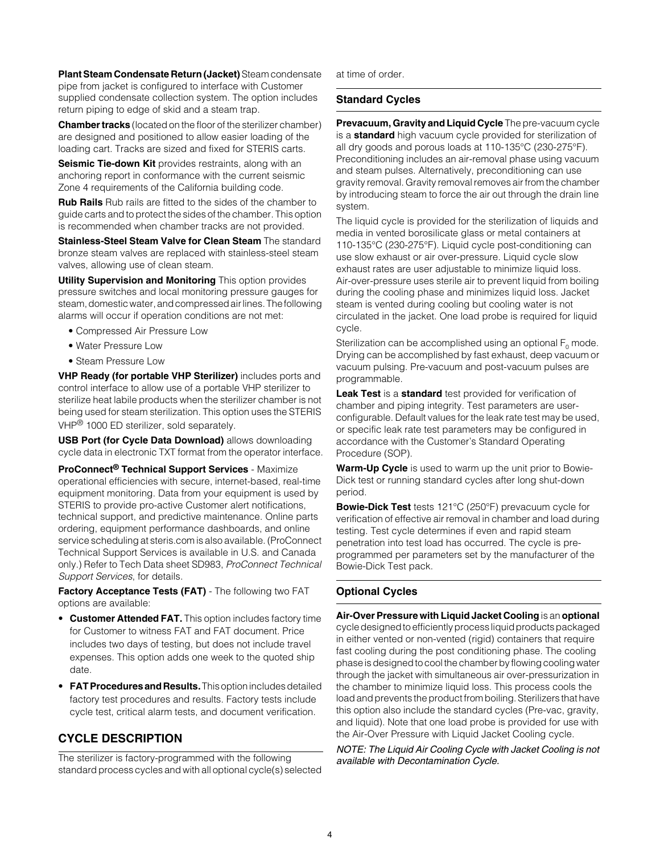**Plant Steam Condensate Return (Jacket)** Steam condensate pipe from jacket is configured to interface with Customer supplied condensate collection system. The option includes return piping to edge of skid and a steam trap.

**Chamber tracks** (located on the floor of the sterilizer chamber) are designed and positioned to allow easier loading of the loading cart. Tracks are sized and fixed for STERIS carts.

**Seismic Tie-down Kit** provides restraints, along with an anchoring report in conformance with the current seismic Zone 4 requirements of the California building code.

**Rub Rails** Rub rails are fitted to the sides of the chamber to guide carts and to protect the sides of the chamber. This option is recommended when chamber tracks are not provided.

**Stainless-Steel Steam Valve for Clean Steam** The standard bronze steam valves are replaced with stainless-steel steam valves, allowing use of clean steam.

**Utility Supervision and Monitoring** This option provides pressure switches and local monitoring pressure gauges for steam, domestic water, and compressed air lines. The following alarms will occur if operation conditions are not met:

- Compressed Air Pressure Low
- Water Pressure Low
- Steam Pressure Low

**VHP Ready (for portable VHP Sterilizer)** includes ports and control interface to allow use of a portable VHP sterilizer to sterilize heat labile products when the sterilizer chamber is not being used for steam sterilization. This option uses the STERIS VHP<sup>®</sup> 1000 ED sterilizer, sold separately.

**USB Port (for Cycle Data Download)** allows downloading cycle data in electronic TXT format from the operator interface.

**ProConnect® Technical Support Services** - Maximize operational efficiencies with secure, internet-based, real-time equipment monitoring. Data from your equipment is used by STERIS to provide pro-active Customer alert notifications, technical support, and predictive maintenance. Online parts ordering, equipment performance dashboards, and online service scheduling at steris.com is also available. (ProConnect Technical Support Services is available in U.S. and Canada only.) Refer to Tech Data sheet SD983, *ProConnect Technical Support Services*, for details.

**Factory Acceptance Tests (FAT)** - The following two FAT options are available:

- **Customer Attended FAT.** This option includes factory time for Customer to witness FAT and FAT document. Price includes two days of testing, but does not include travel expenses. This option adds one week to the quoted ship date.
- **FAT Procedures and Results.** This option includes detailed factory test procedures and results. Factory tests include cycle test, critical alarm tests, and document verification.

# **CYCLE DESCRIPTION**

The sterilizer is factory-programmed with the following standard process cycles and with all optional cycle(s) selected at time of order.

## **Standard Cycles**

**Prevacuum, Gravity and Liquid Cycle** The pre-vacuum cycle is a **standard** high vacuum cycle provided for sterilization of all dry goods and porous loads at 110-135°C (230-275°F). Preconditioning includes an air-removal phase using vacuum and steam pulses. Alternatively, preconditioning can use gravity removal. Gravity removal removes air from the chamber by introducing steam to force the air out through the drain line system.

The liquid cycle is provided for the sterilization of liquids and media in vented borosilicate glass or metal containers at 110-135°C (230-275°F). Liquid cycle post-conditioning can use slow exhaust or air over-pressure. Liquid cycle slow exhaust rates are user adjustable to minimize liquid loss. Air-over-pressure uses sterile air to prevent liquid from boiling during the cooling phase and minimizes liquid loss. Jacket steam is vented during cooling but cooling water is not circulated in the jacket. One load probe is required for liquid cycle.

Sterilization can be accomplished using an optional  $F_0$  mode. Drying can be accomplished by fast exhaust, deep vacuum or vacuum pulsing. Pre-vacuum and post-vacuum pulses are programmable.

**Leak Test** is a **standard** test provided for verification of chamber and piping integrity. Test parameters are userconfigurable. Default values for the leak rate test may be used, or specific leak rate test parameters may be configured in accordance with the Customer's Standard Operating Procedure (SOP).

**Warm-Up Cycle** is used to warm up the unit prior to Bowie-Dick test or running standard cycles after long shut-down period.

**Bowie-Dick Test** tests 121°C (250°F) prevacuum cycle for verification of effective air removal in chamber and load during testing. Test cycle determines if even and rapid steam penetration into test load has occurred. The cycle is preprogrammed per parameters set by the manufacturer of the Bowie-Dick Test pack.

# **Optional Cycles**

# **Air-Over Pressure with Liquid Jacket Cooling** is an **optional**

cycle designed to efficiently process liquid products packaged in either vented or non-vented (rigid) containers that require fast cooling during the post conditioning phase. The cooling phase is designed to cool the chamber by flowing cooling water through the jacket with simultaneous air over-pressurization in the chamber to minimize liquid loss. This process cools the load and prevents the product from boiling. Sterilizers that have this option also include the standard cycles (Pre-vac, gravity, and liquid). Note that one load probe is provided for use with the Air-Over Pressure with Liquid Jacket Cooling cycle.

*NOTE: The Liquid Air Cooling Cycle with Jacket Cooling is not available with Decontamination Cycle.*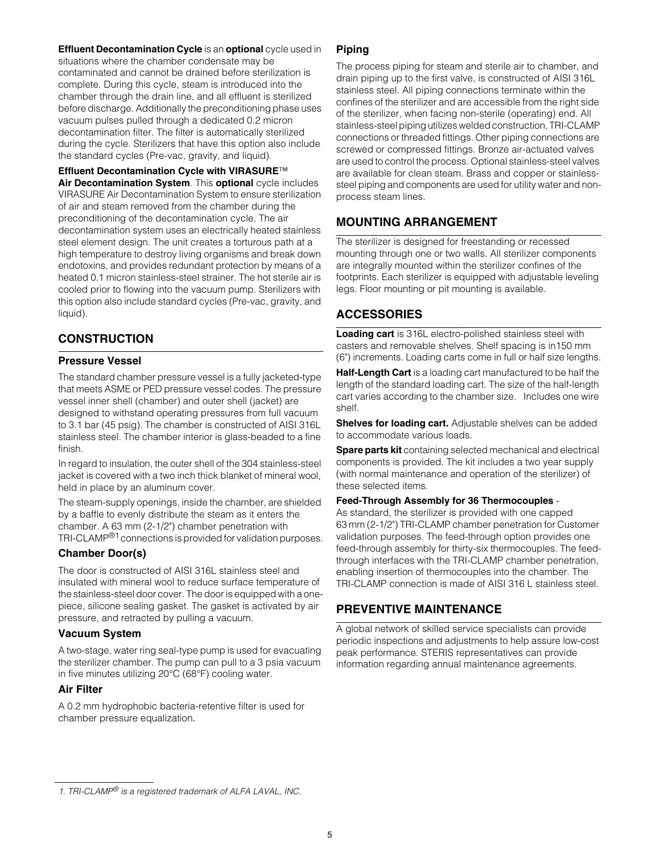**Effluent Decontamination Cycle** is an **optional** cycle used in situations where the chamber condensate may be contaminated and cannot be drained before sterilization is complete. During this cycle, steam is introduced into the chamber through the drain line, and all effluent is sterilized before discharge. Additionally the preconditioning phase uses vacuum pulses pulled through a dedicated 0.2 micron decontamination filter. The filter is automatically sterilized during the cycle. Sterilizers that have this option also include the standard cycles (Pre-vac, gravity, and liquid).

**Effluent Decontamination Cycle with VIRASURE**™

**Air Decontamination System**. This **optional** cycle includes VIRASURE Air Decontamination System to ensure sterilization of air and steam removed from the chamber during the preconditioning of the decontamination cycle. The air decontamination system uses an electrically heated stainless steel element design. The unit creates a torturous path at a high temperature to destroy living organisms and break down endotoxins, and provides redundant protection by means of a heated 0.1 micron stainless-steel strainer. The hot sterile air is cooled prior to flowing into the vacuum pump. Sterilizers with this option also include standard cycles (Pre-vac, gravity, and liquid).

# **CONSTRUCTION**

## **Pressure Vessel**

The standard chamber pressure vessel is a fully jacketed-type that meets ASME or PED pressure vessel codes. The pressure vessel inner shell (chamber) and outer shell (jacket) are designed to withstand operating pressures from full vacuum to 3.1 bar (45 psig). The chamber is constructed of AISI 316L stainless steel. The chamber interior is glass-beaded to a fine finish.

In regard to insulation, the outer shell of the 304 stainless-steel jacket is covered with a two inch thick blanket of mineral wool, held in place by an aluminum cover.

The steam-supply openings, inside the chamber, are shielded by a baffle to evenly distribute the steam as it enters the chamber. A 63 mm (2-1/2") chamber penetration with TRI-CLAMP®1 connections is provided for validation purposes.

## **Chamber Door(s)**

The door is constructed of AISI 316L stainless steel and insulated with mineral wool to reduce surface temperature of the stainless-steel door cover. The door is equipped with a onepiece, silicone sealing gasket. The gasket is activated by air pressure, and retracted by pulling a vacuum.

## **Vacuum System**

A two-stage, water ring seal-type pump is used for evacuating the sterilizer chamber. The pump can pull to a 3 psia vacuum in five minutes utilizing 20°C (68°F) cooling water.

## **Air Filter**

A 0.2 mm hydrophobic bacteria-retentive filter is used for chamber pressure equalization.

## **Piping**

The process piping for steam and sterile air to chamber, and drain piping up to the first valve, is constructed of AISI 316L stainless steel. All piping connections terminate within the confines of the sterilizer and are accessible from the right side of the sterilizer, when facing non-sterile (operating) end. All stainless-steel piping utilizes welded construction, TRI-CLAMP connections or threaded fittings. Other piping connections are screwed or compressed fittings. Bronze air-actuated valves are used to control the process. Optional stainless-steel valves are available for clean steam. Brass and copper or stainlesssteel piping and components are used for utility water and nonprocess steam lines.

# **MOUNTING ARRANGEMENT**

The sterilizer is designed for freestanding or recessed mounting through one or two walls. All sterilizer components are integrally mounted within the sterilizer confines of the footprints. Each sterilizer is equipped with adjustable leveling legs. Floor mounting or pit mounting is available.

# **ACCESSORIES**

**Loading cart** is 316L electro-polished stainless steel with casters and removable shelves. Shelf spacing is in150 mm (6") increments. Loading carts come in full or half size lengths.

**Half-Length Cart** is a loading cart manufactured to be half the length of the standard loading cart. The size of the half-length cart varies according to the chamber size. Includes one wire shelf.

**Shelves for loading cart.** Adjustable shelves can be added to accommodate various loads.

**Spare parts kit** containing selected mechanical and electrical components is provided. The kit includes a two year supply (with normal maintenance and operation of the sterilizer) of these selected items.

#### **Feed-Through Assembly for 36 Thermocouples** -

As standard, the sterilizer is provided with one capped 63 mm (2-1/2") TRI-CLAMP chamber penetration for Customer validation purposes. The feed-through option provides one feed-through assembly for thirty-six thermocouples. The feedthrough interfaces with the TRI-CLAMP chamber penetration, enabling insertion of thermocouples into the chamber. The TRI-CLAMP connection is made of AISI 316 L stainless steel.

# **PREVENTIVE MAINTENANCE**

A global network of skilled service specialists can provide periodic inspections and adjustments to help assure low-cost peak performance. STERIS representatives can provide information regarding annual maintenance agreements.

*<sup>1.</sup> TRI-CLAMP® is a registered trademark of ALFA LAVAL, INC.*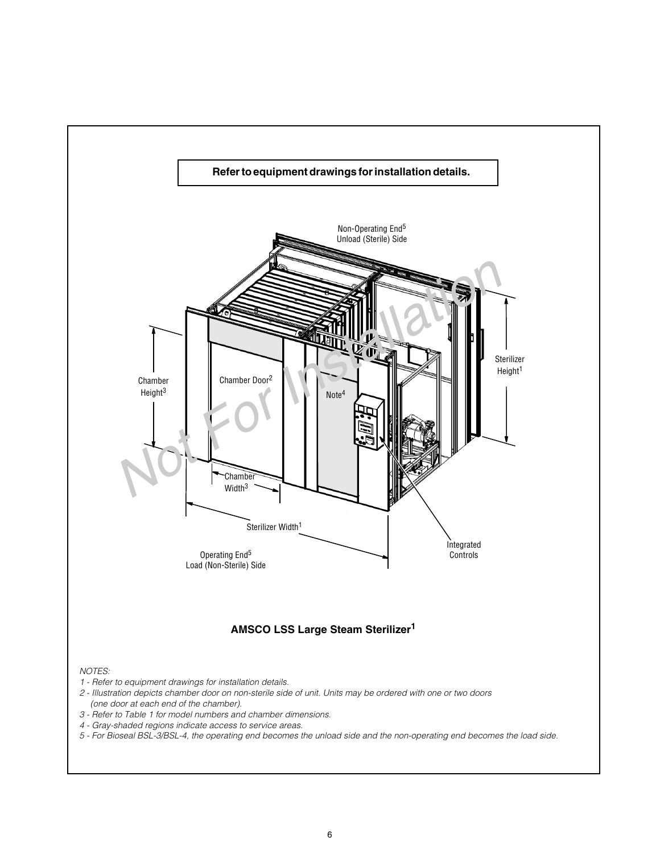

*5 - For Bioseal BSL-3/BSL-4, the operating end becomes the unload side and the non-operating end becomes the load side.*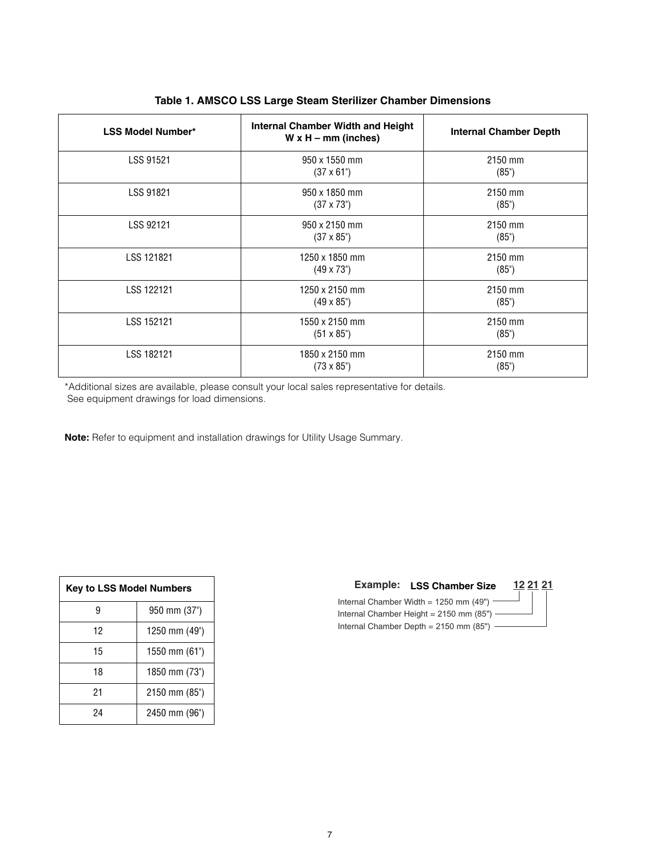| <b>LSS Model Number*</b> | <b>Internal Chamber Width and Height</b><br>$W \times H - mm$ (inches) | Internal Chamber Depth |
|--------------------------|------------------------------------------------------------------------|------------------------|
| <b>LSS 91521</b>         | 950 x 1550 mm<br>$(37 \times 61^{\circ})$                              | 2150 mm<br>(85")       |
| LSS 91821                | 950 x 1850 mm<br>$(37 \times 73^{\circ})$                              | 2150 mm<br>(85")       |
| LSS 92121                | 950 x 2150 mm<br>$(37 \times 85^{\circ})$                              | 2150 mm<br>(85")       |
| LSS 121821               | 1250 x 1850 mm<br>$(49 \times 73^{\circ})$                             | 2150 mm<br>(85")       |
| LSS 122121               | 1250 x 2150 mm<br>$(49 \times 85)$                                     | 2150 mm<br>(85")       |
| LSS 152121               | 1550 x 2150 mm<br>$(51 \times 85^{\circ})$                             | 2150 mm<br>(85")       |
| LSS 182121               | 1850 x 2150 mm<br>$(73 \times 85^{\circ})$                             | 2150 mm<br>(85")       |

## **Table 1. AMSCO LSS Large Steam Sterilizer Chamber Dimensions**

\*Additional sizes are available, please consult your local sales representative for details. See equipment drawings for load dimensions.

**Note:** Refer to equipment and installation drawings for Utility Usage Summary.

| <b>Key to LSS Model Numbers</b> |               |  |
|---------------------------------|---------------|--|
|                                 | 950 mm (37")  |  |
| 12                              | 1250 mm (49") |  |
| 15                              | 1550 mm (61") |  |
| 18                              | 1850 mm (73") |  |
| 21                              | 2150 mm (85") |  |
| 24                              | 2450 mm (96") |  |

# Example: LSS Chamber Size 12 21 21 Internal Chamber Width =  $1250$  mm (49") Internal Chamber Height = 2150 mm (85") Internal Chamber Depth =  $2150$  mm (85") -